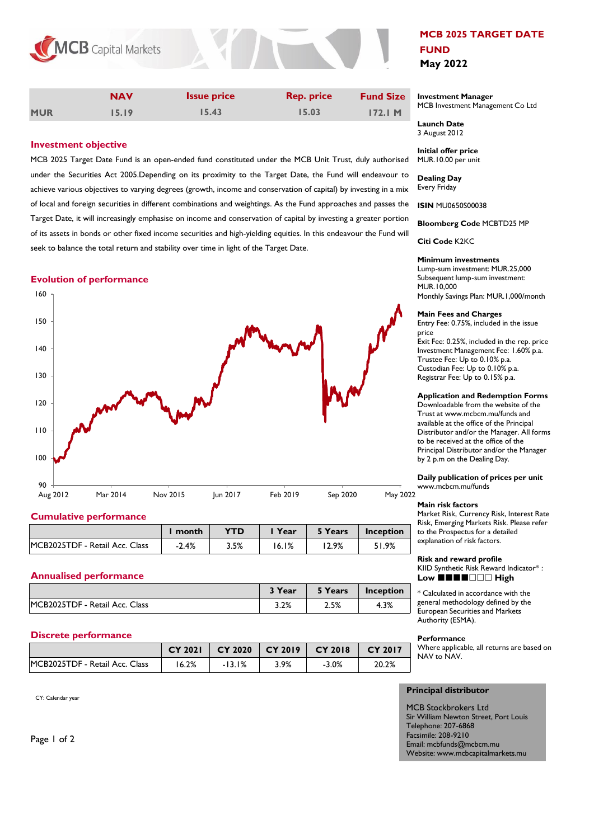

|            | <b>NAV</b> | <b>Issue price</b> | <b>Rep. price</b> | <b>Fund Size</b> |
|------------|------------|--------------------|-------------------|------------------|
| <b>MUR</b> | 15.19      | 15.43              | 15.03             | 172.1 M          |

# **Investment objective**

MCB 2025 Target Date Fund is an open-ended fund constituted under the MCB Unit Trust, duly authorised under the Securities Act 2005.Depending on its proximity to the Target Date, the Fund will endeavour to achieve various objectives to varying degrees (growth, income and conservation of capital) by investing in a mix of local and foreign securities in different combinations and weightings. As the Fund approaches and passes the Target Date, it will increasingly emphasise on income and conservation of capital by investing a greater portion of its assets in bonds or other fixed income securities and high-yielding equities. In this endeavour the Fund will seek to balance the total return and stability over time in light of the Target Date.

### **Evolution of performance**



### **Cumulative performance**

|                                | l month | <b>YTD</b> | Year  | 5 Years | Inception |
|--------------------------------|---------|------------|-------|---------|-----------|
| MCB2025TDF - Retail Acc. Class | $-2.4%$ | 3.5%       | 16.1% | 2.9%    | 51.9%     |

### **Annualised performance**

|                                | $\rightarrow$ Year $\sim$ | 5 Years | Inception |
|--------------------------------|---------------------------|---------|-----------|
| MCB2025TDF - Retail Acc. Class | 3.2%                      | 2.5%    | 4.3%      |

### **Discrete performance**

|                                | <b>CY 2021</b> | $CY$ 2020 $\parallel$ | $\vert$ CY 2019 $\vert$ CY 2018 |          | CY 2017 |
|--------------------------------|----------------|-----------------------|---------------------------------|----------|---------|
| MCB2025TDF - Retail Acc. Class | 16.2%          | $-13.1%$              | 3.9%                            | $-3.0\%$ | 20.2%   |

CY: Calendar year

**MCB 2025 TARGET DATE FUND May 2022**

#### **Investment Manager**  MCB Investment Management Co Ltd

**Launch Date**  3 August 2012

**Initial offer price** MUR.10.00 per unit

**Dealing Day** Every Friday

**ISIN** MU0650S00038

**Bloomberg Code** MCBTD25 MP

**Citi Code** K2KC

#### **Minimum investments**

Lump-sum investment: MUR.25,000 Subsequent lump-sum investment: MUR.10,000 Monthly Savings Plan: MUR.1,000/month

#### **Main Fees and Charges**

Entry Fee: 0.75%, included in the issue price Exit Fee: 0.25%, included in the rep. price Investment Management Fee: 1.60% p.a. Trustee Fee: Up to 0.10% p.a. Custodian Fee: Up to 0.10% p.a. Registrar Fee: Up to 0.15% p.a.

### **Application and Redemption Forms**

Downloadable from the website of the Trust at www.mcbcm.mu/funds and available at the office of the Principal Distributor and/or the Manager. All forms to be received at the office of the Principal Distributor and/or the Manager by 2 p.m on the Dealing Day.

**Daily publication of prices per unit** www.mcbcm.mu/funds

#### **Main risk factors**

Market Risk, Currency Risk, Interest Rate Risk, Emerging Markets Risk. Please refer to the Prospectus for a detailed explanation of risk factors.

**Risk and reward profile**  KIID Synthetic Risk Reward Indicator\* : **Low** ■■■■□□□ High

\* Calculated in accordance with the general methodology defined by the European Securities and Markets Authority (ESMA).

#### **Performance**

Where applicable, all returns are based on NAV to NAV.

## **Principal distributor**

MCB Stockbrokers Ltd Sir William Newton Street, Port Louis Telephone: 207-6868 Facsimile: 208-9210 Email: mcbfunds@mcbcm.mu Website: www.mcbcapitalmarkets.mu

Page 1 of 2